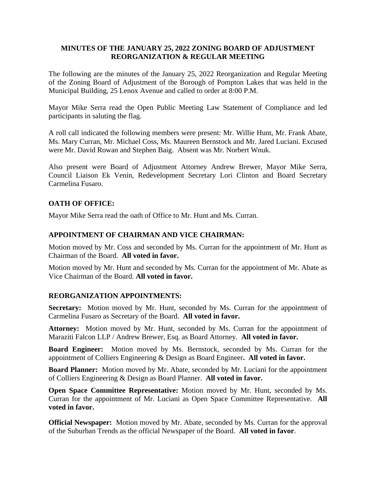#### **MINUTES OF THE JANUARY 25, 2022 ZONING BOARD OF ADJUSTMENT REORGANIZATION & REGULAR MEETING**

The following are the minutes of the January 25, 2022 Reorganization and Regular Meeting of the Zoning Board of Adjustment of the Borough of Pompton Lakes that was held in the Municipal Building, 25 Lenox Avenue and called to order at 8:00 P.M.

Mayor Mike Serra read the Open Public Meeting Law Statement of Compliance and led participants in saluting the flag.

A roll call indicated the following members were present: Mr. Willie Hunt, Mr. Frank Abate, Ms. Mary Curran, Mr. Michael Coss, Ms. Maureen Bernstock and Mr. Jared Luciani. Excused were Mr. David Rowan and Stephen Baig. Absent was Mr. Norbert Wnuk.

Also present were Board of Adjustment Attorney Andrew Brewer, Mayor Mike Serra, Council Liaison Ek Venin, Redevelopment Secretary Lori Clinton and Board Secretary Carmelina Fusaro.

#### **OATH OF OFFICE:**

Mayor Mike Serra read the oath of Office to Mr. Hunt and Ms. Curran.

#### **APPOINTMENT OF CHAIRMAN AND VICE CHAIRMAN:**

Motion moved by Mr. Coss and seconded by Ms. Curran for the appointment of Mr. Hunt as Chairman of the Board. **All voted in favor.**

Motion moved by Mr. Hunt and seconded by Ms. Curran for the appointment of Mr. Abate as Vice Chairman of the Board. **All voted in favor.**

#### **REORGANIZATION APPOINTMENTS:**

**Secretary:** Motion moved by Mr. Hunt, seconded by Ms. Curran for the appointment of Carmelina Fusaro as Secretary of the Board. **All voted in favor.**

**Attorney:** Motion moved by Mr. Hunt, seconded by Ms. Curran for the appointment of Maraziti Falcon LLP / Andrew Brewer, Esq. as Board Attorney. **All voted in favor.**

**Board Engineer:** Motion moved by Ms. Bernstock, seconded by Ms. Curran for the appointment of Colliers Engineering & Design as Board Engineer**. All voted in favor.**

**Board Planner:** Motion moved by Mr. Abate, seconded by Mr. Luciani for the appointment of Colliers Engineering & Design as Board Planner. **All voted in favor.**

**Open Space Committee Representative:** Motion moved by Mr. Hunt, seconded by Ms. Curran for the appointment of Mr. Luciani as Open Space Committee Representative. **All voted in favor.**

**Official Newspaper:** Motion moved by Mr. Abate, seconded by Ms. Curran for the approval of the Suburban Trends as the official Newspaper of the Board. **All voted in favor**.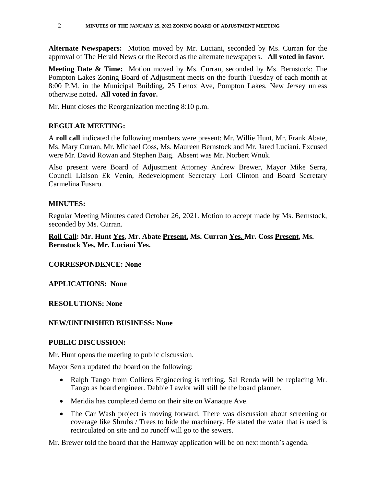**Alternate Newspapers:** Motion moved by Mr. Luciani, seconded by Ms. Curran for the approval of The Herald News or the Record as the alternate newspapers. **All voted in favor.**

**Meeting Date & Time:** Motion moved by Ms. Curran, seconded by Ms. Bernstock: The Pompton Lakes Zoning Board of Adjustment meets on the fourth Tuesday of each month at 8:00 P.M. in the Municipal Building, 25 Lenox Ave, Pompton Lakes, New Jersey unless otherwise noted**. All voted in favor.**

Mr. Hunt closes the Reorganization meeting 8:10 p.m.

## **REGULAR MEETING:**

A **roll call** indicated the following members were present: Mr. Willie Hunt, Mr. Frank Abate, Ms. Mary Curran, Mr. Michael Coss, Ms. Maureen Bernstock and Mr. Jared Luciani. Excused were Mr. David Rowan and Stephen Baig. Absent was Mr. Norbert Wnuk.

Also present were Board of Adjustment Attorney Andrew Brewer, Mayor Mike Serra, Council Liaison Ek Venin, Redevelopment Secretary Lori Clinton and Board Secretary Carmelina Fusaro.

# **MINUTES:**

Regular Meeting Minutes dated October 26, 2021. Motion to accept made by Ms. Bernstock, seconded by Ms. Curran.

## **Roll Call: Mr. Hunt Yes, Mr. Abate Present, Ms. Curran Yes, Mr. Coss Present, Ms. Bernstock Yes, Mr. Luciani Yes.**

## **CORRESPONDENCE: None**

## **APPLICATIONS: None**

## **RESOLUTIONS: None**

## **NEW/UNFINISHED BUSINESS: None**

## **PUBLIC DISCUSSION:**

Mr. Hunt opens the meeting to public discussion.

Mayor Serra updated the board on the following:

- Ralph Tango from Colliers Engineering is retiring. Sal Renda will be replacing Mr. Tango as board engineer. Debbie Lawlor will still be the board planner.
- Meridia has completed demo on their site on Wanaque Ave.
- The Car Wash project is moving forward. There was discussion about screening or coverage like Shrubs / Trees to hide the machinery. He stated the water that is used is recirculated on site and no runoff will go to the sewers.

Mr. Brewer told the board that the Hamway application will be on next month's agenda.